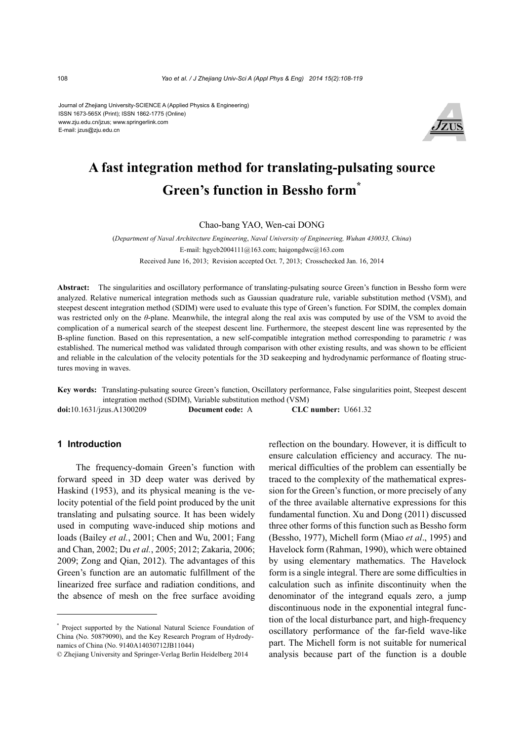Journal of Zhejiang University-SCIENCE A (Applied Physics & Engineering) ISSN 1673-565X (Print); ISSN 1862-1775 (Online) www.zju.edu.cn/jzus; www.springerlink.com E-mail: jzus@zju.edu.cn



# **A fast integration method for translating-pulsating source Green's function in Bessho form\***

Chao-bang YAO, Wen-cai DONG

(*Department of Naval Architecture Engineering*, *Naval University of Engineering, Wuhan 430033, China*) E-mail: hgycb2004111@163.com; haigongdwc@163.com Received June 16, 2013; Revision accepted Oct. 7, 2013; Crosschecked Jan. 16, 2014

**Abstract:** The singularities and oscillatory performance of translating-pulsating source Green's function in Bessho form were analyzed. Relative numerical integration methods such as Gaussian quadrature rule, variable substitution method (VSM), and steepest descent integration method (SDIM) were used to evaluate this type of Green's function. For SDIM, the complex domain was restricted only on the *θ*-plane. Meanwhile, the integral along the real axis was computed by use of the VSM to avoid the complication of a numerical search of the steepest descent line. Furthermore, the steepest descent line was represented by the B-spline function. Based on this representation, a new self-compatible integration method corresponding to parametric *t* was established. The numerical method was validated through comparison with other existing results, and was shown to be efficient and reliable in the calculation of the velocity potentials for the 3D seakeeping and hydrodynamic performance of floating structures moving in waves.

**Key words:** Translating-pulsating source Green's function, Oscillatory performance, False singularities point, Steepest descent integration method (SDIM), Variable substitution method (VSM) **doi:**10.1631/jzus.A1300209 **Document code:** A **CLC number:** U661.32

#### **1 Introduction**

The frequency-domain Green's function with forward speed in 3D deep water was derived by Haskind (1953), and its physical meaning is the velocity potential of the field point produced by the unit translating and pulsating source. It has been widely used in computing wave-induced ship motions and loads (Bailey *et al.*, 2001; Chen and Wu, 2001; Fang and Chan, 2002; Du *et al.*, 2005; 2012; Zakaria, 2006; 2009; Zong and Qian, 2012). The advantages of this Green's function are an automatic fulfillment of the linearized free surface and radiation conditions, and the absence of mesh on the free surface avoiding

reflection on the boundary. However, it is difficult to ensure calculation efficiency and accuracy. The numerical difficulties of the problem can essentially be traced to the complexity of the mathematical expression for the Green's function, or more precisely of any of the three available alternative expressions for this fundamental function. Xu and Dong (2011) discussed three other forms of this function such as Bessho form (Bessho, 1977), Michell form (Miao *et al*., 1995) and Havelock form (Rahman, 1990), which were obtained by using elementary mathematics. The Havelock form is a single integral. There are some difficulties in calculation such as infinite discontinuity when the denominator of the integrand equals zero, a jump discontinuous node in the exponential integral function of the local disturbance part, and high-frequency oscillatory performance of the far-field wave-like part. The Michell form is not suitable for numerical analysis because part of the function is a double

<sup>\*</sup> Project supported by the National Natural Science Foundation of China (No. 50879090), and the Key Research Program of Hydrodynamics of China (No. 9140A14030712JB11044)

<sup>©</sup> Zhejiang University and Springer-Verlag Berlin Heidelberg 2014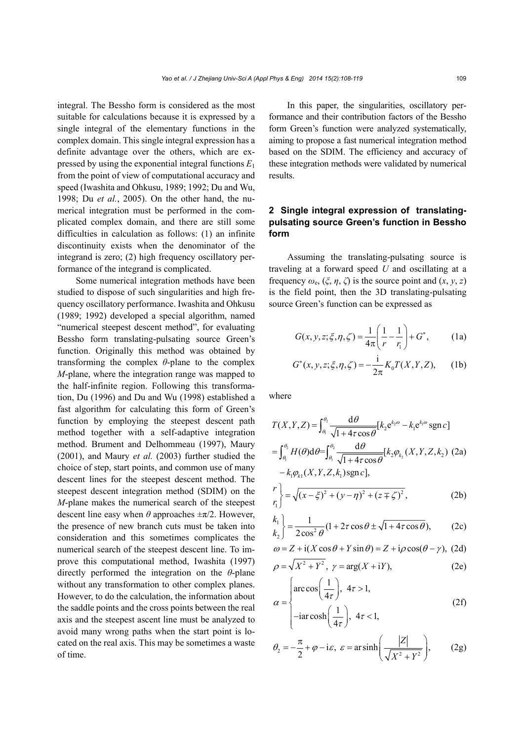integral. The Bessho form is considered as the most suitable for calculations because it is expressed by a single integral of the elementary functions in the complex domain. This single integral expression has a definite advantage over the others, which are expressed by using the exponential integral functions *E*<sup>1</sup> from the point of view of computational accuracy and speed (Iwashita and Ohkusu, 1989; 1992; Du and Wu, 1998; Du *et al.*, 2005). On the other hand, the numerical integration must be performed in the complicated complex domain, and there are still some difficulties in calculation as follows: (1) an infinite discontinuity exists when the denominator of the integrand is zero; (2) high frequency oscillatory performance of the integrand is complicated.

Some numerical integration methods have been studied to dispose of such singularities and high frequency oscillatory performance. Iwashita and Ohkusu (1989; 1992) developed a special algorithm, named "numerical steepest descent method", for evaluating Bessho form translating-pulsating source Green's function. Originally this method was obtained by transforming the complex *θ*-plane to the complex *M*-plane, where the integration range was mapped to the half-infinite region. Following this transformation, Du (1996) and Du and Wu (1998) established a fast algorithm for calculating this form of Green's function by employing the steepest descent path method together with a self-adaptive integration method. Brument and Delhommeau (1997), Maury (2001), and Maury *et al.* (2003) further studied the choice of step, start points, and common use of many descent lines for the steepest descent method. The steepest descent integration method (SDIM) on the *M*-plane makes the numerical search of the steepest descent line easy when  $\theta$  approaches  $\pm \pi/2$ . However, the presence of new branch cuts must be taken into consideration and this sometimes complicates the numerical search of the steepest descent line. To improve this computational method, Iwashita (1997) directly performed the integration on the *θ*-plane without any transformation to other complex planes. However, to do the calculation, the information about the saddle points and the cross points between the real axis and the steepest ascent line must be analyzed to avoid many wrong paths when the start point is located on the real axis. This may be sometimes a waste of time.

In this paper, the singularities, oscillatory performance and their contribution factors of the Bessho form Green's function were analyzed systematically, aiming to propose a fast numerical integration method based on the SDIM. The efficiency and accuracy of these integration methods were validated by numerical results.

# **2 Single integral expression of translatingpulsating source Green's function in Bessho form**

Assuming the translating-pulsating source is traveling at a forward speed *U* and oscillating at a frequency  $\omega_e$ ,  $(\xi, \eta, \zeta)$  is the source point and  $(x, y, z)$ is the field point, then the 3D translating-pulsating source Green's function can be expressed as

$$
G(x, y, z; \xi, \eta, \zeta) = \frac{1}{4\pi} \left( \frac{1}{r} - \frac{1}{r_1} \right) + G^*,
$$
 (1a)

$$
G^*(x, y, z; \xi, \eta, \zeta) = -\frac{i}{2\pi} K_0 T(X, Y, Z), \qquad (1b)
$$

where

$$
T(X, Y, Z) = \int_{\theta_1}^{\theta_2} \frac{d\theta}{\sqrt{1 + 4\tau \cos \theta}} [k_2 e^{k_2 \omega} - k_1 e^{k_1 \omega} \text{sgn } c]
$$
  
= 
$$
\int_{\theta_1}^{\theta_2} H(\theta) d\theta = \int_{\theta_1}^{\theta_2} \frac{d\theta}{\sqrt{1 + 4\tau \cos \theta}} [k_2 \varphi_{k_2}(X, Y, Z, k_2) (2a)
$$
  
-  $k_1 \varphi_{k_1}(X, Y, Z, k_1) \text{sgn } c],$ 

$$
\begin{pmatrix} r \\ r_1 \end{pmatrix} = \sqrt{(x - \xi)^2 + (y - \eta)^2 + (z \mp \zeta)^2},
$$
 (2b)

$$
\begin{pmatrix} k_1 \\ k_2 \end{pmatrix} = \frac{1}{2\cos^2\theta} (1 + 2\tau\cos\theta \pm \sqrt{1 + 4\tau\cos\theta}),
$$
 (2c)

$$
\omega = Z + i(X\cos\theta + Y\sin\theta) = Z + i\rho\cos(\theta - \gamma), (2d)
$$

$$
\rho = \sqrt{X^2 + Y^2}, \ \gamma = \arg(X + iY), \tag{2e}
$$

$$
\alpha = \begin{cases} \arccos\left(\frac{1}{4\tau}\right), & 4\tau > 1, \\ -\arccos\left(\frac{1}{4\tau}\right), & 4\tau < 1, \end{cases}
$$
 (2f)

$$
\theta_2 = -\frac{\pi}{2} + \varphi - i\varepsilon, \ \varepsilon = \operatorname{ar} \sinh\left(\frac{|Z|}{\sqrt{X^2 + Y^2}}\right), \qquad (2g)
$$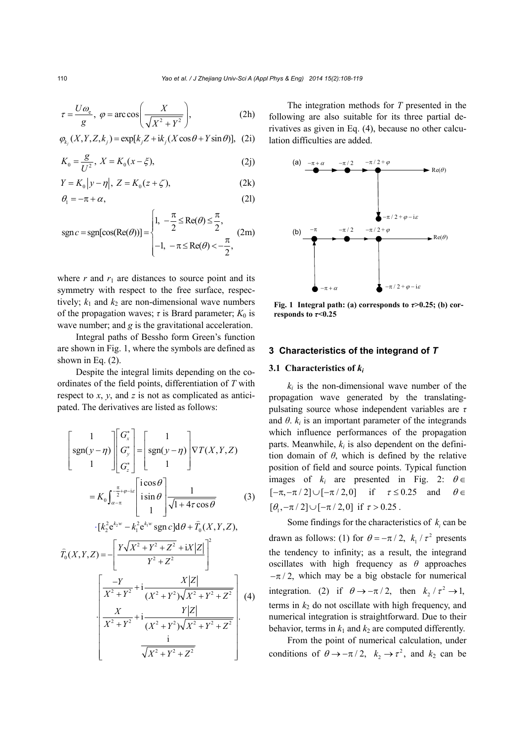$$
\tau = \frac{U\omega_{\rm e}}{g}, \ \varphi = \arccos\bigg(\frac{X}{\sqrt{X^2 + Y^2}}\bigg), \tag{2h}
$$

$$
\varphi_{k_j}(X, Y, Z, k_j) = \exp[k_j Z + ik_j(X \cos \theta + Y \sin \theta)], (2i)
$$

$$
K_0 = \frac{g}{U^2}, \ X = K_0(x - \xi), \tag{2j}
$$

$$
Y = K_0 |y - \eta|, \ Z = K_0(z + \zeta), \tag{2k}
$$

$$
\theta_1 = -\pi + \alpha,\tag{21}
$$

$$
sgn c = sgn[cos(Re(\theta))] = \begin{cases} 1, & -\frac{\pi}{2} \le Re(\theta) \le \frac{\pi}{2}, \\ -1, & -\pi \le Re(\theta) < -\frac{\pi}{2}, \end{cases}
$$
 (2m)

where  $r$  and  $r_1$  are distances to source point and its symmetry with respect to the free surface, respectively;  $k_1$  and  $k_2$  are non-dimensional wave numbers of the propagation waves;  $\tau$  is Brard parameter;  $K_0$  is wave number; and *g* is the gravitational acceleration.

Integral paths of Bessho form Green's function are shown in Fig. 1, where the symbols are defined as shown in Eq.  $(2)$ .

Despite the integral limits depending on the coordinates of the field points, differentiation of *T* with respect to *x*, *y*, and *z* is not as complicated as anticipated. The derivatives are listed as follows:

$$
\begin{bmatrix} 1 \\ \text{sgn}(y-\eta) \\ 1 \end{bmatrix} \begin{bmatrix} G_x^* \\ G_y^* \\ G_z^* \end{bmatrix} = \begin{bmatrix} 1 \\ \text{sgn}(y-\eta) \\ 1 \end{bmatrix} \nabla T(X,Y,Z)
$$

$$
= K_0 \int_{\alpha-\pi}^{\frac{\pi}{2}+\varphi-i\epsilon} \begin{bmatrix} i\cos\theta \\ i\sin\theta \\ 1 \end{bmatrix} \frac{1}{\sqrt{1+4\tau\cos\theta}}
$$
(3)

$$
\cdot [k_2^2 e^{k_2 w} - k_1^2 e^{k_1 w} \operatorname{sgn} c] d\theta + \widehat{T}_0(X, Y, Z),
$$

$$
\hat{T}_0(X,Y,Z) = -\left[\frac{Y\sqrt{X^2 + Y^2 + Z^2} + iX|Z|}{Y^2 + Z^2}\right]^2
$$
\n
$$
\left[\frac{-Y}{X^2 + Y^2} + i\frac{X|Z|}{(X^2 + Y^2)\sqrt{X^2 + Y^2 + Z^2}}\right] (4)
$$
\n
$$
\frac{X}{X^2 + Y^2} + i\frac{Y|Z|}{(X^2 + Y^2)\sqrt{X^2 + Y^2 + Z^2}}
$$
\n
$$
\frac{i}{\sqrt{X^2 + Y^2 + Z^2}}
$$

The integration methods for *T* presented in the following are also suitable for its three partial derivatives as given in Eq. (4), because no other calculation difficulties are added.



**Fig. 1** Integral path: (a) corresponds to  $\tau > 0.25$ ; (b) cor**responds to**  $\tau$ **<0.25** 

#### **3 Characteristics of the integrand of** *T*

#### **3.1 Characteristics of** *ki*

 $k_i$  is the non-dimensional wave number of the propagation wave generated by the translatingpulsating source whose independent variables are *τ* and  $\theta$ .  $k_i$  is an important parameter of the integrands which influence performances of the propagation parts. Meanwhile,  $k_i$  is also dependent on the definition domain of *θ*, which is defined by the relative position of field and source points. Typical function images of  $k_i$  are presented in Fig. 2:  $\theta \in$  $[-\pi, -\pi/2] \cup [-\pi/2, 0]$  if  $\tau \le 0.25$  and  $\theta \in$  $[\theta, -\pi/2] \cup [-\pi/2,0]$  if  $\tau > 0.25$ .

Some findings for the characteristics of  $k_i$  can be drawn as follows: (1) for  $\theta = -\pi/2$ ,  $k_1/\tau^2$  presents the tendency to infinity; as a result, the integrand oscillates with high frequency as *θ* approaches  $-\pi/2$ , which may be a big obstacle for numerical integration. (2) if  $\theta \rightarrow -\pi/2$ , then  $k_2/\tau^2 \rightarrow 1$ , terms in  $k_2$  do not oscillate with high frequency, and numerical integration is straightforward. Due to their behavior, terms in  $k_1$  and  $k_2$  are computed differently.

From the point of numerical calculation, under conditions of  $\theta \rightarrow -\pi/2$ ,  $k_2 \rightarrow \tau^2$ , and  $k_2$  can be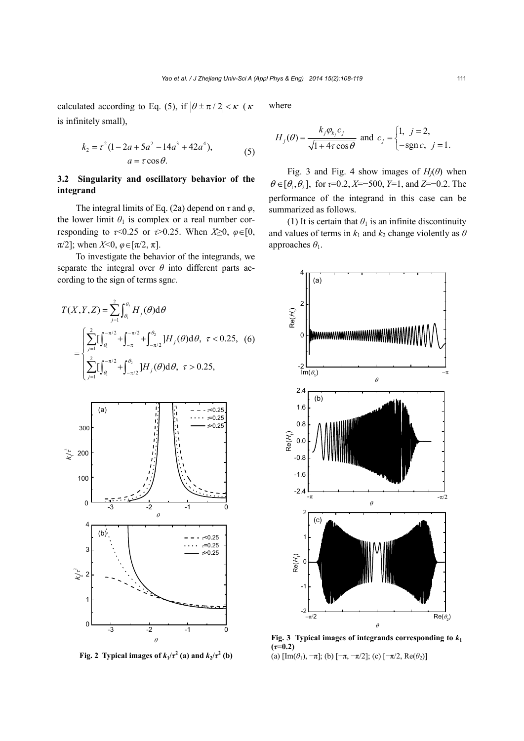calculated according to Eq. (5), if  $|\theta \pm \pi/2| < \kappa$  ( $\kappa$ is infinitely small),

$$
k_2 = \tau^2 (1 - 2a + 5a^2 - 14a^3 + 42a^4),
$$
  
\n
$$
a = \tau \cos \theta.
$$
 (5)

# **3.2 Singularity and oscillatory behavior of the integrand**

The integral limits of Eq. (2a) depend on  $\tau$  and  $\varphi$ , the lower limit  $\theta_1$  is complex or a real number corresponding to  $\tau$ <0.25 or  $\tau$ >0.25. When  $X\geq0, \varphi \in [0, \pi]$  $\pi/2$ ]; when *X*<0,  $\varphi \in [\pi/2, \pi]$ .

To investigate the behavior of the integrands, we separate the integral over  $\theta$  into different parts according to the sign of terms sgn*c.*

$$
T(X, Y, Z) = \sum_{j=1}^{2} \int_{\theta_{1}}^{\theta_{2}} H_{j}(\theta) d\theta
$$
  
= 
$$
\begin{cases} \sum_{j=1}^{2} \left[ \int_{\theta_{1}}^{-\pi/2} + \int_{-\pi}^{-\pi/2} + \int_{-\pi/2}^{\theta_{2}} \right] H_{j}(\theta) d\theta, & \tau < 0.25, (6) \\ \sum_{j=1}^{2} \left[ \int_{\theta_{1}}^{-\pi/2} + \int_{-\pi/2}^{\theta_{2}} \right] H_{j}(\theta) d\theta, & \tau > 0.25, \end{cases}
$$



**Fig. 2** Typical images of  $k_1/\tau^2$  (a) and  $k_2/\tau^2$  (b)

where

$$
H_j(\theta) = \frac{k_j \varphi_{k_j} c_j}{\sqrt{1 + 4\tau \cos \theta}} \text{ and } c_j = \begin{cases} 1, & j = 2, \\ -\text{sgn } c, & j = 1. \end{cases}
$$

Fig. 3 and Fig. 4 show images of  $H_i(\theta)$  when  $\theta \in [\theta_1, \theta_2]$ , for  $\tau = 0.2$ ,  $X = -500$ ,  $Y = 1$ , and  $Z = -0.2$ . The performance of the integrand in this case can be summarized as follows.

(1) It is certain that  $\theta_1$  is an infinite discontinuity and values of terms in  $k_1$  and  $k_2$  change violently as  $\theta$ approaches *θ*1.



**Fig. 3** Typical images of integrands corresponding to  $k_1$  $(\tau = 0.2)$ (a)  $\left[\text{Im}(\theta_1), -\pi\right]$ ; (b)  $\left[-\pi, -\pi/2\right]$ ; (c)  $\left[-\pi/2, \text{Re}(\theta_2)\right]$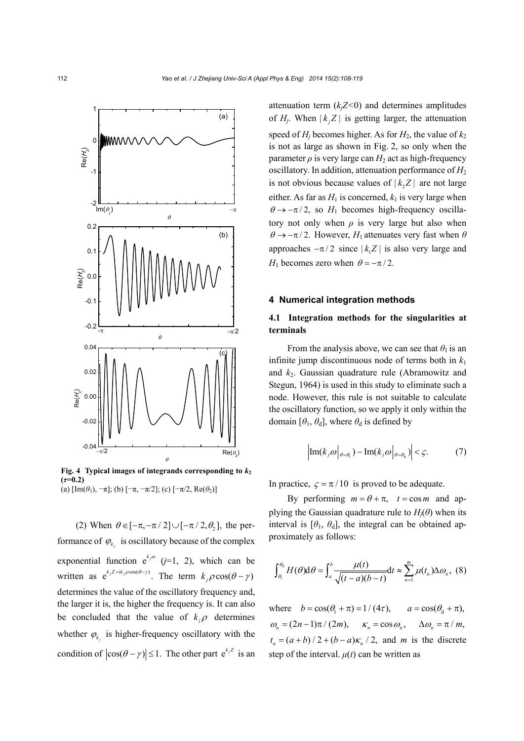

**Fig. 4** Typical images of integrands corresponding to  $k_2$  $(\tau=0.2)$ (a)  $[\text{Im}(\theta_1), -\pi]$ ; (b)  $[-\pi, -\pi/2]$ ; (c)  $[-\pi/2, \text{Re}(\theta_2)]$ 

(2) When  $\theta \in [-\pi, -\pi/2] \cup [-\pi/2, \theta]$ , the performance of  $\varphi_{k_i}$  is oscillatory because of the complex exponential function  $e^{k_j \omega}$  (*j*=1, 2), which can be written as  $e^{k_j Z + ik_j \rho \cos(\theta - \gamma)}$ . The term  $k_j \rho \cos(\theta - \gamma)$ determines the value of the oscillatory frequency and, the larger it is, the higher the frequency is. It can also be concluded that the value of  $k_i \rho$  determines whether  $\varphi_{k_i}$  is higher-frequency oscillatory with the condition of  $|\cos(\theta - \gamma)| \le 1$ . The other part  $e^{k/2}$  is an attenuation term  $(k<sub>i</sub>Z<0)$  and determines amplitudes of  $H_i$ . When  $|k_i Z|$  is getting larger, the attenuation speed of  $H_i$  becomes higher. As for  $H_2$ , the value of  $k_2$ is not as large as shown in Fig. 2, so only when the parameter  $\rho$  is very large can  $H_2$  act as high-frequency oscillatory. In addition, attenuation performance of  $H_2$ is not obvious because values of  $|k, Z|$  are not large either. As far as  $H_1$  is concerned,  $k_1$  is very large when  $\theta \rightarrow -\pi/2$ , so  $H_1$  becomes high-frequency oscillatory not only when  $\rho$  is very large but also when  $\theta \rightarrow -\pi/2$ . However, *H*<sub>1</sub> attenuates very fast when  $\theta$ approaches  $-\pi/2$  since  $|k_1 Z|$  is also very large and *H*<sub>1</sub> becomes zero when  $\theta = -\pi/2$ .

#### **4 Numerical integration methods**

## **4.1 Integration methods for the singularities at terminals**

From the analysis above, we can see that  $\theta_1$  is an infinite jump discontinuous node of terms both in  $k_1$ and  $k_2$ . Gaussian quadrature rule (Abramowitz and Stegun, 1964) is used in this study to eliminate such a node. However, this rule is not suitable to calculate the oscillatory function, so we apply it only within the domain  $[\theta_1, \theta_d]$ , where  $\theta_d$  is defined by

$$
\left|\operatorname{Im}(k_j\omega\big|_{\theta=\theta_1}) - \operatorname{Im}(k_j\omega\big|_{\theta=\theta_d})\right| < \varsigma. \tag{7}
$$

In practice,  $\zeta = \pi / 10$  is proved to be adequate.

By performing  $m = \theta + \pi$ ,  $t = \cos m$  and applying the Gaussian quadrature rule to  $H_i(\theta)$  when its interval is  $[\theta_1, \theta_2]$ , the integral can be obtained approximately as follows:

$$
\int_{\theta_1}^{\theta_d} H(\theta) \mathrm{d}\theta = \int_a^b \frac{\mu(t)}{\sqrt{(t-a)(b-t)}} \mathrm{d}t \approx \sum_{n=1}^m \mu(t_n) \Delta \omega_n, \tag{8}
$$

where  $b = \cos(\theta_1 + \pi) = 1/(4\tau), \quad a = \cos(\theta_1 + \pi),$  $\omega_n = (2n-1)\pi/(2m), \quad \kappa_n = \cos \omega_n, \quad \Delta \omega_n = \pi/m,$  $t_n = (a + b)/2 + (b - a)\kappa_n/2$ , and *m* is the discrete step of the interval.  $\mu(t)$  can be written as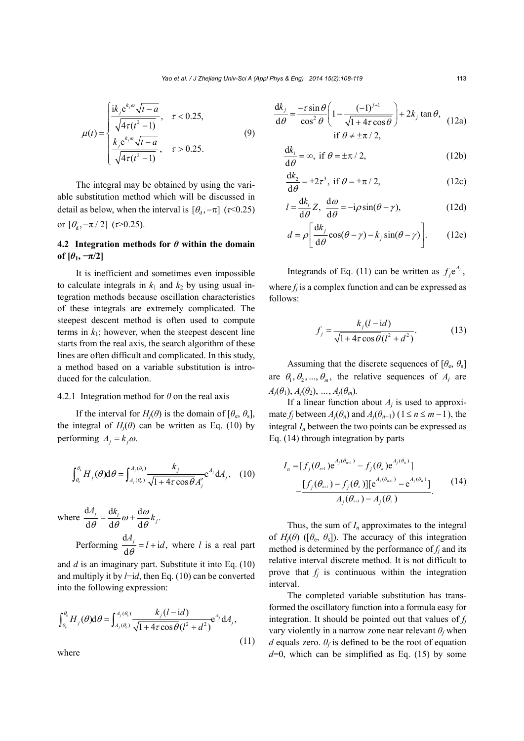$$
\mu(t) = \begin{cases} \frac{\mathrm{i}k_j e^{k_j \omega} \sqrt{t-a}}{\sqrt{4\tau(t^2-1)}}, & \tau < 0.25, \\ \frac{k_j e^{k_j \omega} \sqrt{t-a}}{\sqrt{4\tau(t^2-1)}}, & \tau > 0.25. \end{cases}
$$
(9)

The integral may be obtained by using the variable substitution method which will be discussed in detail as below, when the interval is  $[\theta_{d}, -\pi]$  ( $\tau$ <0.25) or  $[\theta_{d}, -\pi/2]$  ( $\tau > 0.25$ ).

# **4.2 Integration methods for** *θ* **within the domain of**  $[\theta_1, -\pi/2]$

It is inefficient and sometimes even impossible to calculate integrals in  $k_1$  and  $k_2$  by using usual integration methods because oscillation characteristics of these integrals are extremely complicated. The steepest descent method is often used to compute terms in  $k_1$ ; however, when the steepest descent line starts from the real axis, the search algorithm of these lines are often difficult and complicated. In this study, a method based on a variable substitution is introduced for the calculation.

### 4.2.1 Integration method for *θ* on the real axis

If the interval for  $H_i(\theta)$  is the domain of  $[\theta_{e}, \theta_{s}]$ , the integral of  $H_i(\theta)$  can be written as Eq. (10) by performing  $A_i = k_i \omega$ .

$$
\int_{\theta_{\rm e}}^{\theta_{\rm s}} H_j(\theta) \mathrm{d}\theta = \int_{A_j(\theta_{\rm e})}^{A_j(\theta_{\rm s})} \frac{k_j}{\sqrt{1 + 4\tau \cos \theta} A_j'} e^{A_j} \mathrm{d} A_j, \quad (10)
$$

where 
$$
\frac{dA_j}{d\theta} = \frac{dk_i}{d\theta} \omega + \frac{d\omega}{d\theta} k_j.
$$
  
Performing 
$$
\frac{dA_j}{d\theta} = l + id
$$
, where *l* is a real part

and *d* is an imaginary part. Substitute it into Eq. (10) and multiply it by *l*−i*d*, then Eq. (10) can be converted into the following expression:

$$
\int_{\theta_{\rm e}}^{\theta_{\rm s}} H_j(\theta) \mathrm{d}\theta = \int_{A_j(\theta_{\rm e})}^{A_j(\theta_{\rm s})} \frac{k_j(l - \mathrm{id})}{\sqrt{1 + 4\tau \cos \theta (l^2 + d^2)}} \mathrm{e}^{A_j} \mathrm{d}A_j,\tag{11}
$$

where

$$
\frac{dk_j}{d\theta} = \frac{-\tau \sin \theta}{\cos^2 \theta} \left( 1 - \frac{(-1)^{j+1}}{\sqrt{1 + 4\tau \cos \theta}} \right) + 2k_j \tan \theta, \quad (12a)
$$
  
if  $\theta \neq \pm \pi/2$ ,

$$
\frac{dk_1}{d\theta} = \infty, \text{ if } \theta = \pm \pi / 2, \qquad (12b)
$$

$$
\frac{dk_2}{d\theta} = \pm 2\tau^3, \text{ if } \theta = \pm \pi/2,
$$
 (12c)

$$
l = \frac{dk_i}{d\theta} Z, \ \frac{d\omega}{d\theta} = -i\rho \sin(\theta - \gamma), \tag{12d}
$$

$$
d = \rho \left[ \frac{\mathrm{d}k_j}{\mathrm{d}\theta} \cos(\theta - \gamma) - k_j \sin(\theta - \gamma) \right]. \tag{12e}
$$

Integrands of Eq. (11) can be written as  $f_i e^{A_j}$ , where  $f_i$  is a complex function and can be expressed as follows:

$$
f_j = \frac{k_j(l - id)}{\sqrt{1 + 4\tau \cos \theta (l^2 + d^2)}}.
$$
 (13)

Assuming that the discrete sequences of  $[\theta_e, \theta_s]$ are  $\theta_1, \theta_2, ..., \theta_m$ , the relative sequences of  $A_i$  are  $A_i(\theta_1), A_i(\theta_2), ..., A_i(\theta_m)$ .

If a linear function about  $A_j$  is used to approximate *f<sub>j</sub>* between  $A_i(\theta_n)$  and  $A_i(\theta_{n+1})$  (1  $\leq n \leq m-1$ ), the integral  $I_n$  between the two points can be expressed as Eq. (14) through integration by parts

$$
I_{n} = [f_{j}(\theta_{n+1})e^{A_{j}(\theta_{n+1})} - f_{j}(\theta_{n})e^{A_{j}(\theta_{n})}]
$$
  
 
$$
-\frac{[f_{j}(\theta_{n+1}) - f_{j}(\theta_{n})][e^{A_{j}(\theta_{n+1})} - e^{A_{j}(\theta_{n})}]}{A_{j}(\theta_{n+1}) - A_{j}(\theta_{n})}.
$$
 (14)

Thus, the sum of *I<sub>n</sub>* approximates to the integral of  $H_i(\theta)$  ( $[\theta_e, \theta_s]$ ). The accuracy of this integration method is determined by the performance of  $f_i$  and its relative interval discrete method. It is not difficult to prove that  $f_i$  is continuous within the integration interval.

The completed variable substitution has transformed the oscillatory function into a formula easy for integration. It should be pointed out that values of  $f_i$ vary violently in a narrow zone near relevant  $\theta_f$  when *d* equals zero.  $\theta_f$  is defined to be the root of equation  $d=0$ , which can be simplified as Eq. (15) by some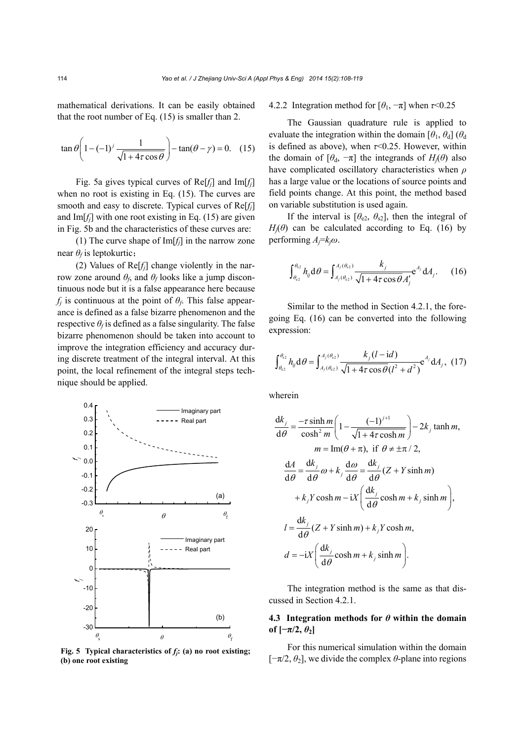mathematical derivations. It can be easily obtained that the root number of Eq. (15) is smaller than 2.

$$
\tan \theta \left( 1 - (-1)^j \frac{1}{\sqrt{1 + 4\tau \cos \theta}} \right) - \tan(\theta - \gamma) = 0. \quad (15)
$$

Fig. 5a gives typical curves of Re[*fj*] and Im[*fj*] when no root is existing in Eq. (15). The curves are smooth and easy to discrete. Typical curves of Re[*fj*] and  $Im[f_i]$  with one root existing in Eq. (15) are given in Fig. 5b and the characteristics of these curves are:

(1) The curve shape of Im[*fj*] in the narrow zone near *θf* is leptokurtic;

(2) Values of  $\text{Re}[f_i]$  change violently in the narrow zone around  $\theta_f$ , and  $\theta_f$  looks like a jump discontinuous node but it is a false appearance here because  $f_i$  is continuous at the point of  $\theta_f$ . This false appearance is defined as a false bizarre phenomenon and the respective  $\theta_f$  is defined as a false singularity. The false bizarre phenomenon should be taken into account to improve the integration efficiency and accuracy during discrete treatment of the integral interval. At this point, the local refinement of the integral steps technique should be applied.



**Fig. 5** Typical characteristics of  $f_i$ **:** (a) no root existing; **(b) one root existing**

4.2.2 Integration method for  $[\theta_1, -\pi]$  when  $\tau \le 0.25$ 

The Gaussian quadrature rule is applied to evaluate the integration within the domain  $[\theta_1, \theta_d]$  ( $\theta_d$ ) is defined as above), when *τ*<0.25. However, within the domain of  $[\theta_d, -\pi]$  the integrands of  $H_i(\theta)$  also have complicated oscillatory characteristics when *ρ* has a large value or the locations of source points and field points change. At this point, the method based on variable substitution is used again.

If the interval is  $[\theta_{e2}, \theta_{s2}]$ , then the integral of  $H_i(\theta)$  can be calculated according to Eq. (16) by performing *Aj*=*kjω*.

$$
\int_{\theta_{\rm c2}}^{\theta_{\rm s2}} h_{ij} \, \mathrm{d}\theta = \int_{A_j(\theta_{\rm c2})}^{A_j(\theta_{\rm s2})} \frac{k_j}{\sqrt{1 + 4\tau \cos \theta} A'_j} e^{A_j} \, \mathrm{d}A_j. \tag{16}
$$

Similar to the method in Section 4.2.1, the foregoing Eq. (16) can be converted into the following expression:

$$
\int_{\theta_{c2}}^{\theta_{s2}} h_{ij} \, d\theta = \int_{A_j(\theta_{c2})}^{A_j(\theta_{s2})} \frac{k_j(l - id)}{\sqrt{1 + 4\tau \cos \theta (l^2 + d^2)}} e^{A_j} \, dA_j, \tag{17}
$$

wherein

$$
\frac{dk_j}{d\theta} = \frac{-\tau \sinh m}{\cosh^2 m} \left( 1 - \frac{(-1)^{j+1}}{\sqrt{1 + 4\tau \cosh m}} \right) - 2k_j \tanh m,
$$
\n
$$
m = \text{Im}(\theta + \pi), \text{ if } \theta \neq \pm \pi / 2,
$$
\n
$$
\frac{dA}{d\theta} = \frac{dk_j}{d\theta} \omega + k_j \frac{d\omega}{d\theta} = \frac{dk_j}{d\theta} (Z + Y \sinh m)
$$
\n
$$
+ k_j Y \cosh m - iX \left( \frac{dk_j}{d\theta} \cosh m + k_j \sinh m \right),
$$
\n
$$
l = \frac{dk_j}{d\theta} (Z + Y \sinh m) + k_j Y \cosh m,
$$
\n
$$
d = -iX \left( \frac{dk_j}{d\theta} \cosh m + k_j \sinh m \right).
$$

The integration method is the same as that discussed in Section 4.2.1.

# **4.3 Integration methods for** *θ* **within the domain of**  $[-\pi/2, \theta_2]$

For this numerical simulation within the domain [−π/2, *θ*2], we divide the complex *θ*-plane into regions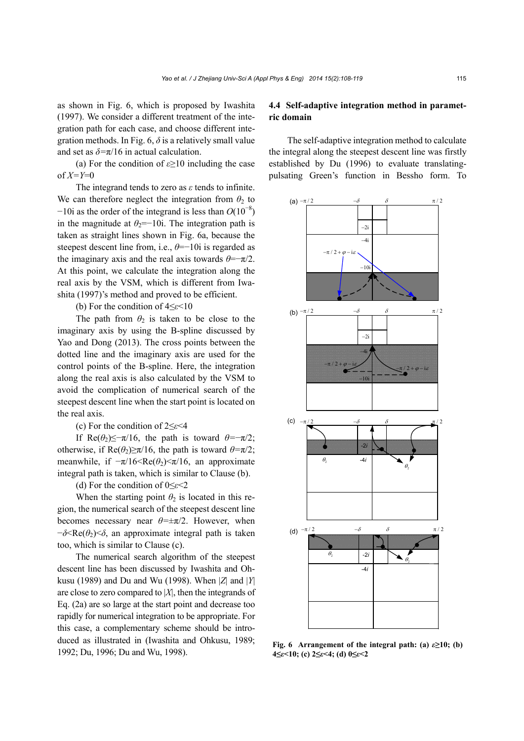as shown in Fig. 6, which is proposed by Iwashita (1997). We consider a different treatment of the integration path for each case, and choose different integration methods. In Fig. 6,  $\delta$  is a relatively small value and set as  $\delta = \pi/16$  in actual calculation.

(a) For the condition of *ε*≥10 including the case of *X=Y*=0

The integrand tends to zero as *ε* tends to infinite. We can therefore neglect the integration from  $\theta_2$  to  $-10i$  as the order of the integrand is less than  $O(10^{-8})$ in the magnitude at  $\theta_2$ =−10i. The integration path is taken as straight lines shown in Fig. 6a, because the steepest descent line from, i.e., *θ*=−10i is regarded as the imaginary axis and the real axis towards  $\theta = -\pi/2$ . At this point, we calculate the integration along the real axis by the VSM, which is different from Iwashita (1997)'s method and proved to be efficient.

(b) For the condition of 4≤*ε*<10

The path from  $\theta_2$  is taken to be close to the imaginary axis by using the B-spline discussed by Yao and Dong (2013). The cross points between the dotted line and the imaginary axis are used for the control points of the B-spline. Here, the integration along the real axis is also calculated by the VSM to avoid the complication of numerical search of the steepest descent line when the start point is located on the real axis.

#### (c) For the condition of 2≤*ε*<4

If Re( $\theta_2$ )≤−π/16, the path is toward  $\theta$ =−π/2; otherwise, if  $\text{Re}(\theta_2) \ge \pi/16$ , the path is toward  $\theta = \pi/2$ ; meanwhile, if  $-\pi/16 < \text{Re}(\theta_2) < \pi/16$ , an approximate integral path is taken, which is similar to Clause (b).

#### (d) For the condition of 0≤*ε*<2

When the starting point  $\theta_2$  is located in this region, the numerical search of the steepest descent line becomes necessary near *θ=*±π/2. However, when  $-\delta \leq Re(\theta_2) \leq \delta$ , an approximate integral path is taken too, which is similar to Clause (c).

The numerical search algorithm of the steepest descent line has been discussed by Iwashita and Ohkusu (1989) and Du and Wu (1998). When |*Z*| and |*Y*| are close to zero compared to |*X*|, then the integrands of Eq. (2a) are so large at the start point and decrease too rapidly for numerical integration to be appropriate. For this case, a complementary scheme should be introduced as illustrated in (Iwashita and Ohkusu, 1989; 1992; Du, 1996; Du and Wu, 1998).

# **4.4 Self-adaptive integration method in parametric domain**

The self-adaptive integration method to calculate the integral along the steepest descent line was firstly established by Du (1996) to evaluate translatingpulsating Green's function in Bessho form. To



**Fig. 6 Arrangement of the integral path: (a)** *ε***≥10; (b) 4≤***ε***<10; (c) 2≤***ε***<4; (d) 0≤***ε***<2**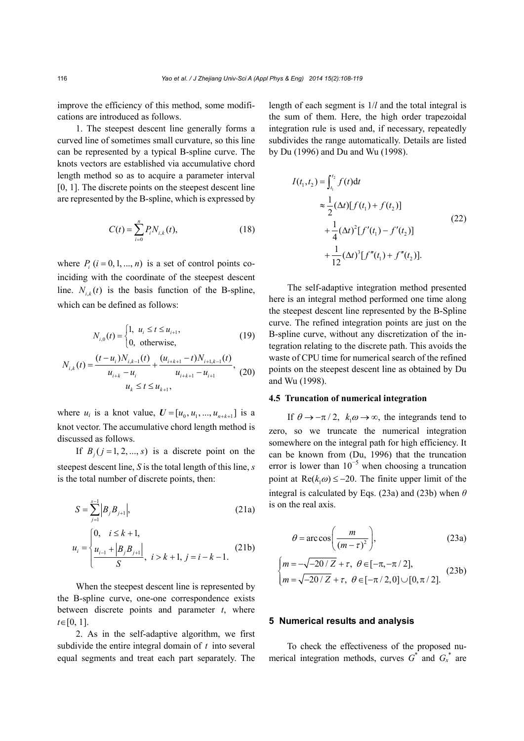improve the efficiency of this method, some modifications are introduced as follows.

1. The steepest descent line generally forms a curved line of sometimes small curvature, so this line can be represented by a typical B-spline curve. The knots vectors are established via accumulative chord length method so as to acquire a parameter interval [0, 1]. The discrete points on the steepest descent line are represented by the B-spline, which is expressed by

$$
C(t) = \sum_{i=0}^{n} P_i N_{i,k}(t),
$$
 (18)

where  $P_i$   $(i = 0, 1, ..., n)$  is a set of control points coinciding with the coordinate of the steepest descent line.  $N_{ik}(t)$  is the basis function of the B-spline, which can be defined as follows:

$$
N_{i,0}(t) = \begin{cases} 1, & u_i \le t \le u_{i+1}, \\ 0, & \text{otherwise}, \end{cases}
$$
 (19)

$$
N_{i,k}(t) = \frac{(t - u_i)N_{i,k-1}(t)}{u_{i+k} - u_i} + \frac{(u_{i+k+1} - t)N_{i+1,k-1}(t)}{u_{i+k+1} - u_{i+1}},
$$
 (20)

where  $u_i$  is a knot value,  $U = [u_0, u_1, ..., u_{n+k+1}]$  is a knot vector. The accumulative chord length method is discussed as follows.

If  $B_i$  (  $j = 1, 2, ..., s$ ) is a discrete point on the steepest descent line, *S* is the total length of this line, *s* is the total number of discrete points, then:

$$
S = \sum_{j=1}^{s-1} \left| B_j B_{j+1} \right|, \tag{21a}
$$

$$
u_i = \begin{cases} 0, & i \le k+1, \\ \frac{u_{i-1} + \left| B_j B_{j+1} \right|}{S}, & i > k+1, j = i-k-1. \end{cases} \tag{21b}
$$

When the steepest descent line is represented by the B-spline curve, one-one correspondence exists between discrete points and parameter *t*, where  $t \in [0, 1]$ .

2. As in the self-adaptive algorithm, we first subdivide the entire integral domain of *t* into several equal segments and treat each part separately. The length of each segment is 1/*l* and the total integral is the sum of them. Here, the high order trapezoidal integration rule is used and, if necessary, repeatedly subdivides the range automatically. Details are listed by Du (1996) and Du and Wu (1998).

$$
I(t_1, t_2) = \int_{t_1}^{t_2} f(t)dt
$$
  
\n
$$
\approx \frac{1}{2} (\Delta t) [f(t_1) + f(t_2)]
$$
  
\n
$$
+ \frac{1}{4} (\Delta t)^2 [f'(t_1) - f'(t_2)]
$$
  
\n
$$
+ \frac{1}{12} (\Delta t)^3 [f''(t_1) + f''(t_2)].
$$
\n(22)

The self-adaptive integration method presented here is an integral method performed one time along the steepest descent line represented by the B-Spline curve. The refined integration points are just on the B-spline curve, without any discretization of the integration relating to the discrete path. This avoids the waste of CPU time for numerical search of the refined points on the steepest descent line as obtained by Du and Wu (1998).

# **4.5 Truncation of numerical integration**

If  $\theta \rightarrow -\pi/2$ ,  $k_1 \omega \rightarrow \infty$ , the integrands tend to zero, so we truncate the numerical integration somewhere on the integral path for high efficiency. It can be known from (Du, 1996) that the truncation error is lower than  $10^{-5}$  when choosing a truncation point at  $\text{Re}(k, \omega) \le -20$ . The finite upper limit of the integral is calculated by Eqs. (23a) and (23b) when *θ* is on the real axis.

$$
\theta = \arccos\bigg(\frac{m}{\left(m - \tau\right)^2}\bigg),\tag{23a}
$$

$$
\begin{cases} m = -\sqrt{-20/Z} + \tau, \ \theta \in [-\pi, -\pi/2], \\ m = \sqrt{-20/Z} + \tau, \ \theta \in [-\pi/2, 0] \cup [0, \pi/2]. \end{cases}
$$
 (23b)

# **5 Numerical results and analysis**

To check the effectiveness of the proposed numerical integration methods, curves  $G^*$  and  $G_x^*$  are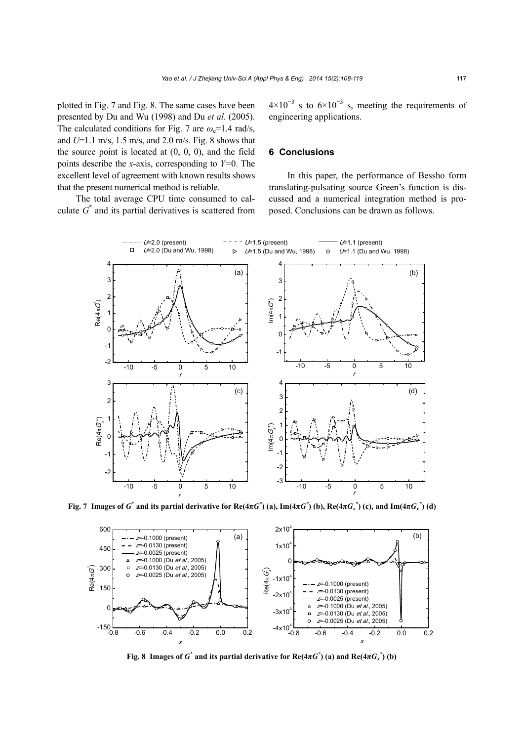plotted in Fig. 7 and Fig. 8. The same cases have been presented by Du and Wu (1998) and Du *et al*. (2005). The calculated conditions for Fig. 7 are  $\omega_e$ =1.4 rad/s, and *U*=1.1 m/s, 1.5 m/s, and 2.0 m/s. Fig. 8 shows that the source point is located at  $(0, 0, 0)$ , and the field points describe the *x*-axis, corresponding to *Y=*0. The excellent level of agreement with known results shows that the present numerical method is reliable.

The total average CPU time consumed to calculate  $G^*$  and its partial derivatives is scattered from

 $4\times10^{-3}$  s to  $6\times10^{-3}$  s, meeting the requirements of engineering applications.

### **6 Conclusions**

In this paper, the performance of Bessho form translating-pulsating source Green's function is discussed and a numerical integration method is proposed. Conclusions can be drawn as follows.



Fig. 7 Images of  $G^*$  and its partial derivative for Re(4 $\pi G^*$ ) (a), Im(4 $\pi G^*$ ) (b), Re(4 $\pi G_x^*$ ) (c), and Im(4 $\pi G_x^*$ ) (d)



**Fig. 8 Images of**  $G^*$  **and its partial derivative for**  $\text{Re}(4\pi G^*)$  **(a) and**  $\text{Re}(4\pi G_x^*)$  **(b)**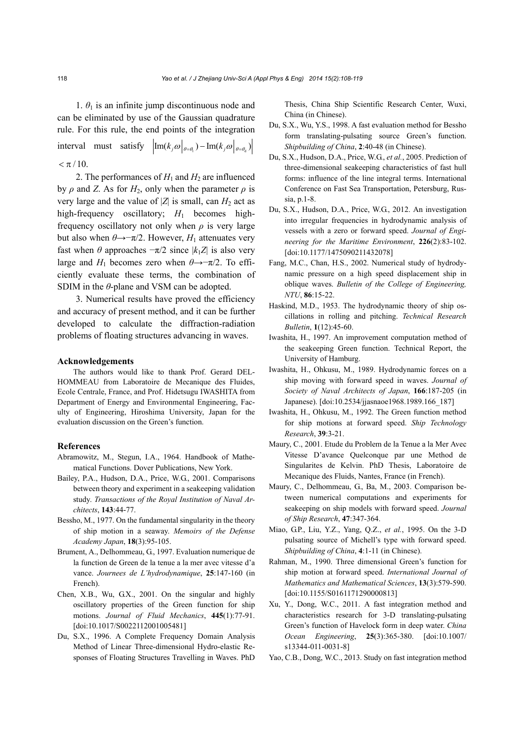1.  $\theta_1$  is an infinite jump discontinuous node and can be eliminated by use of the Gaussian quadrature rule. For this rule, the end points of the integration interval must satisfy  $\left| \text{Im}(k_{j}\omega \big|_{\theta = \theta_{i}}) - \text{Im}(k_{j}\omega \big|_{\theta = \theta_{i}}) \right|$  $< \pi / 10$ .

2. The performances of  $H_1$  and  $H_2$  are influenced by  $\rho$  and *Z*. As for  $H_2$ , only when the parameter  $\rho$  is very large and the value of  $|Z|$  is small, can  $H_2$  act as high-frequency oscillatory;  $H_1$  becomes highfrequency oscillatory not only when *ρ* is very large but also when  $\theta \rightarrow -\pi/2$ . However,  $H_1$  attenuates very fast when  $\theta$  approaches  $-\pi/2$  since  $|k_1Z|$  is also very large and  $H_1$  becomes zero when  $\theta \rightarrow -\pi/2$ . To efficiently evaluate these terms, the combination of SDIM in the *θ*-plane and VSM can be adopted.

3. Numerical results have proved the efficiency and accuracy of present method, and it can be further developed to calculate the diffraction-radiation problems of floating structures advancing in waves.

### **Acknowledgements**

The authors would like to thank Prof. Gerard DEL-HOMMEAU from Laboratoire de Mecanique des Fluides, Ecole Centrale, France, and Prof. Hidetsugu IWASHITA from Department of Energy and Environmental Engineering, Faculty of Engineering, Hiroshima University, Japan for the evaluation discussion on the Green's function.

#### **References**

- Abramowitz, M., Stegun, I.A., 1964. Handbook of Mathematical Functions. Dover Publications, New York.
- Bailey, P.A., Hudson, D.A., Price, W.G., 2001. Comparisons between theory and experiment in a seakeeping validation study. *Transactions of the Royal Institution of Naval Architects*, **143**:44-77.
- Bessho, M., 1977. On the fundamental singularity in the theory of ship motion in a seaway. *Memoirs of the Defense Academy Japan*, **18**(3):95-105.
- Brument, A., Delhommeau, G., 1997. Evaluation numerique de la function de Green de la tenue a la mer avec vitesse d'a vance. *Journees de L'hydrodynamique*, **25**:147-160 (in French).
- Chen, X.B., Wu, G.X., 2001. On the singular and highly oscillatory properties of the Green function for ship motions. *Journal of Fluid Mechanics*, **445**(1):77-91. [doi:10.1017/S0022112001005481]
- Du, S.X., 1996. A Complete Frequency Domain Analysis Method of Linear Three-dimensional Hydro-elastic Responses of Floating Structures Travelling in Waves. PhD

Thesis, China Ship Scientific Research Center, Wuxi, China (in Chinese).

- Du, S.X., Wu, Y.S., 1998. A fast evaluation method for Bessho form translating-pulsating source Green's function. *Shipbuilding of China*, **2**:40-48 (in Chinese).
- Du, S.X., Hudson, D.A., Price, W.G., *et al.*, 2005. Prediction of three-dimensional seakeeping characteristics of fast hull forms: influence of the line integral terms. International Conference on Fast Sea Transportation, Petersburg, Russia, p.1-8.
- Du, S.X., Hudson, D.A., Price, W.G., 2012. An investigation into irregular frequencies in hydrodynamic analysis of vessels with a zero or forward speed. *Journal of Engineering for the Maritime Environment*, **226**(2):83-102. [doi:10.1177/1475090211432078]
- Fang, M.C., Chan, H.S., 2002. Numerical study of hydrodynamic pressure on a high speed displacement ship in oblique waves. *Bulletin of the College of Engineering, NTU*, **86**:15-22.
- Haskind, M.D., 1953. The hydrodynamic theory of ship oscillations in rolling and pitching. *Technical Research Bulletin*, **1**(12):45-60.
- Iwashita, H., 1997. An improvement computation method of the seakeeping Green function. Technical Report, the University of Hamburg.
- Iwashita, H., Ohkusu, M., 1989. Hydrodynamic forces on a ship moving with forward speed in waves. *Journal of Society of Naval Architects of Japan*, **166**:187-205 (in Japanese). [doi:10.2534/jjasnaoe1968.1989.166\_187]
- Iwashita, H., Ohkusu, M., 1992. The Green function method for ship motions at forward speed. *Ship Technology Research*, **39**:3-21.
- Maury, C., 2001. Etude du Problem de la Tenue a la Mer Avec Vitesse D'avance Quelconque par une Method de Singularites de Kelvin. PhD Thesis, Laboratoire de Mecanique des Fluids, Nantes, France (in French).
- Maury, C., Delhommeau, G., Ba, M., 2003. Comparison between numerical computations and experiments for seakeeping on ship models with forward speed. *Journal of Ship Research*, **47**:347-364.
- Miao, G.P., Liu, Y.Z., Yang, Q.Z., *et al.*, 1995. On the 3-D pulsating source of Michell's type with forward speed. *Shipbuilding of China*, **4**:1-11 (in Chinese).
- Rahman, M., 1990. Three dimensional Green's function for ship motion at forward speed. *International Journal of Mathematics and Mathematical Sciences*, **13**(3):579-590. [doi:10.1155/S0161171290000813]
- Xu, Y., Dong, W.C., 2011. A fast integration method and characteristics research for 3-D translating-pulsating Green's function of Havelock form in deep water. *China Ocean Engineering*, **25**(3):365-380. [doi:10.1007/ s13344-011-0031-8]
- Yao, C.B., Dong, W.C., 2013. Study on fast integration method